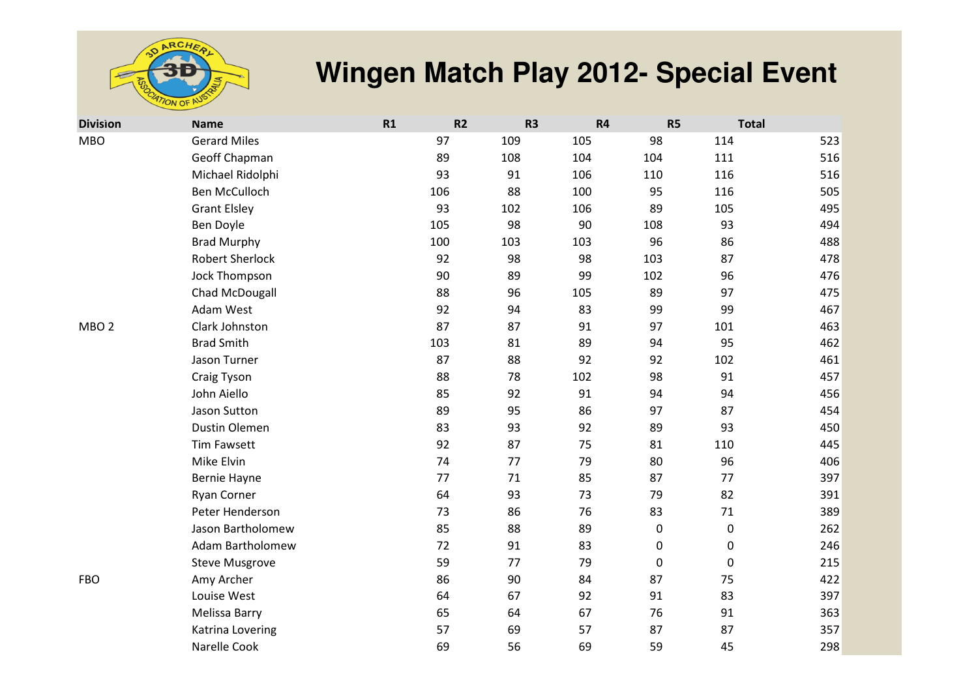

| <b>Division</b>  | <b>Name</b>             | R1 | R2         | R <sub>3</sub> | <b>R4</b>   | R <sub>5</sub> | <b>Total</b> |
|------------------|-------------------------|----|------------|----------------|-------------|----------------|--------------|
| <b>MBO</b>       | <b>Gerard Miles</b>     |    | 97<br>109  | 105            | 98          | 114            | 523          |
|                  | Geoff Chapman           |    | 89<br>108  | 104            | 104         | 111            | 516          |
|                  | Michael Ridolphi        |    | 93<br>91   | 106            | 110         | 116            | 516          |
|                  | <b>Ben McCulloch</b>    |    | 88<br>106  | 100            | 95          | 116            | 505          |
|                  | <b>Grant Elsley</b>     |    | 93<br>102  | 106            | 89          | 105            | 495          |
|                  | Ben Doyle               |    | 98<br>105  | 90             | 108         | 93             | 494          |
|                  | <b>Brad Murphy</b>      |    | 100<br>103 | 103            | 96          | 86             | 488          |
|                  | <b>Robert Sherlock</b>  |    | 92<br>98   | 98             | 103         | 87             | 478          |
|                  | Jock Thompson           |    | 90<br>89   | 99             | 102         | 96             | 476          |
|                  | Chad McDougall          |    | 88<br>96   | 105            | 89          | 97             | 475          |
|                  | Adam West               |    | 92<br>94   | 83             | 99          | 99             | 467          |
| MBO <sub>2</sub> | Clark Johnston          |    | 87<br>87   | 91             | 97          | 101            | 463          |
|                  | <b>Brad Smith</b>       |    | 81<br>103  | 89             | 94          | 95             | 462          |
|                  | Jason Turner            |    | 87<br>88   | 92             | 92          | 102            | 461          |
|                  | Craig Tyson             |    | 88<br>78   | 102            | 98          | 91             | 457          |
|                  | John Aiello             |    | 85<br>92   | 91             | 94          | 94             | 456          |
|                  | Jason Sutton            |    | 89<br>95   | 86             | 97          | 87             | 454          |
|                  | Dustin Olemen           |    | 83<br>93   | 92             | 89          | 93             | 450          |
|                  | <b>Tim Fawsett</b>      |    | 92<br>87   | 75             | 81          | 110            | 445          |
|                  | Mike Elvin              |    | 74<br>77   | 79             | 80          | 96             | 406          |
|                  | Bernie Hayne            |    | 77<br>71   | 85             | 87          | 77             | 397          |
|                  | Ryan Corner             |    | 93<br>64   | 73             | 79          | 82             | 391          |
|                  | Peter Henderson         |    | 73<br>86   | 76             | 83          | 71             | 389          |
|                  | Jason Bartholomew       |    | 85<br>88   | 89             | $\pmb{0}$   | 0              | 262          |
|                  | <b>Adam Bartholomew</b> |    | 72<br>91   | 83             | $\mathbf 0$ | 0              | 246          |
|                  | <b>Steve Musgrove</b>   |    | 59<br>77   | 79             | $\pmb{0}$   | 0              | 215          |
| <b>FBO</b>       | Amy Archer              |    | 86<br>90   | 84             | 87          | 75             | 422          |
|                  | Louise West             |    | 67<br>64   | 92             | 91          | 83             | 397          |
|                  | Melissa Barry           |    | 65<br>64   | 67             | 76          | 91             | 363          |
|                  | Katrina Lovering        |    | 57<br>69   | 57             | 87          | 87             | 357          |
|                  | Narelle Cook            |    | 56<br>69   | 69             | 59          | 45             | 298          |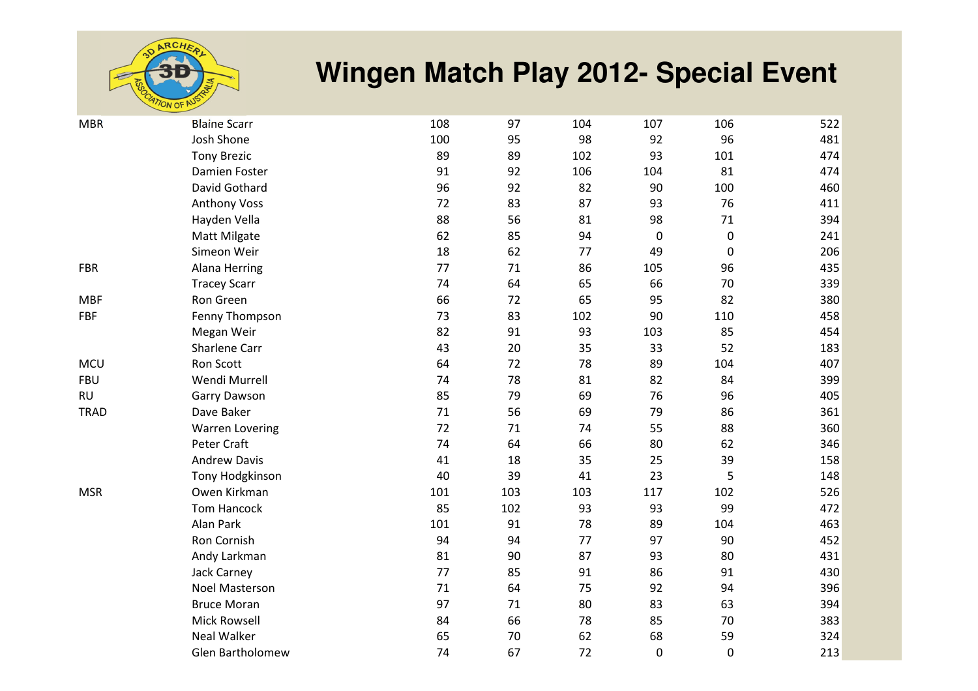

| <b>MBR</b>  | <b>Blaine Scarr</b>    | 108 | 97  | 104 | 107              | 106              | 522 |
|-------------|------------------------|-----|-----|-----|------------------|------------------|-----|
|             | Josh Shone             | 100 | 95  | 98  | 92               | 96               | 481 |
|             | <b>Tony Brezic</b>     | 89  | 89  | 102 | 93               | 101              | 474 |
|             | Damien Foster          | 91  | 92  | 106 | 104              | 81               | 474 |
|             | David Gothard          | 96  | 92  | 82  | 90               | 100              | 460 |
|             | <b>Anthony Voss</b>    | 72  | 83  | 87  | 93               | 76               | 411 |
|             | Hayden Vella           | 88  | 56  | 81  | 98               | 71               | 394 |
|             | Matt Milgate           | 62  | 85  | 94  | $\boldsymbol{0}$ | $\boldsymbol{0}$ | 241 |
|             | Simeon Weir            | 18  | 62  | 77  | 49               | $\mathbf 0$      | 206 |
| <b>FBR</b>  | Alana Herring          | 77  | 71  | 86  | 105              | 96               | 435 |
|             | <b>Tracey Scarr</b>    | 74  | 64  | 65  | 66               | 70               | 339 |
| <b>MBF</b>  | Ron Green              | 66  | 72  | 65  | 95               | 82               | 380 |
| <b>FBF</b>  | Fenny Thompson         | 73  | 83  | 102 | 90               | 110              | 458 |
|             | Megan Weir             | 82  | 91  | 93  | 103              | 85               | 454 |
|             | Sharlene Carr          | 43  | 20  | 35  | 33               | 52               | 183 |
| <b>MCU</b>  | Ron Scott              | 64  | 72  | 78  | 89               | 104              | 407 |
| <b>FBU</b>  | Wendi Murrell          | 74  | 78  | 81  | 82               | 84               | 399 |
| <b>RU</b>   | Garry Dawson           | 85  | 79  | 69  | 76               | 96               | 405 |
| <b>TRAD</b> | Dave Baker             | 71  | 56  | 69  | 79               | 86               | 361 |
|             | <b>Warren Lovering</b> | 72  | 71  | 74  | 55               | 88               | 360 |
|             | Peter Craft            | 74  | 64  | 66  | 80               | 62               | 346 |
|             | <b>Andrew Davis</b>    | 41  | 18  | 35  | 25               | 39               | 158 |
|             | Tony Hodgkinson        | 40  | 39  | 41  | 23               | 5                | 148 |
| <b>MSR</b>  | Owen Kirkman           | 101 | 103 | 103 | 117              | 102              | 526 |
|             | <b>Tom Hancock</b>     | 85  | 102 | 93  | 93               | 99               | 472 |
|             | Alan Park              | 101 | 91  | 78  | 89               | 104              | 463 |
|             | Ron Cornish            | 94  | 94  | 77  | 97               | 90               | 452 |
|             | Andy Larkman           | 81  | 90  | 87  | 93               | 80               | 431 |
|             | Jack Carney            | 77  | 85  | 91  | 86               | 91               | 430 |
|             | <b>Noel Masterson</b>  | 71  | 64  | 75  | 92               | 94               | 396 |
|             | <b>Bruce Moran</b>     | 97  | 71  | 80  | 83               | 63               | 394 |
|             | <b>Mick Rowsell</b>    | 84  | 66  | 78  | 85               | 70               | 383 |
|             | <b>Neal Walker</b>     | 65  | 70  | 62  | 68               | 59               | 324 |
|             | Glen Bartholomew       | 74  | 67  | 72  | $\mathbf 0$      | $\mathbf 0$      | 213 |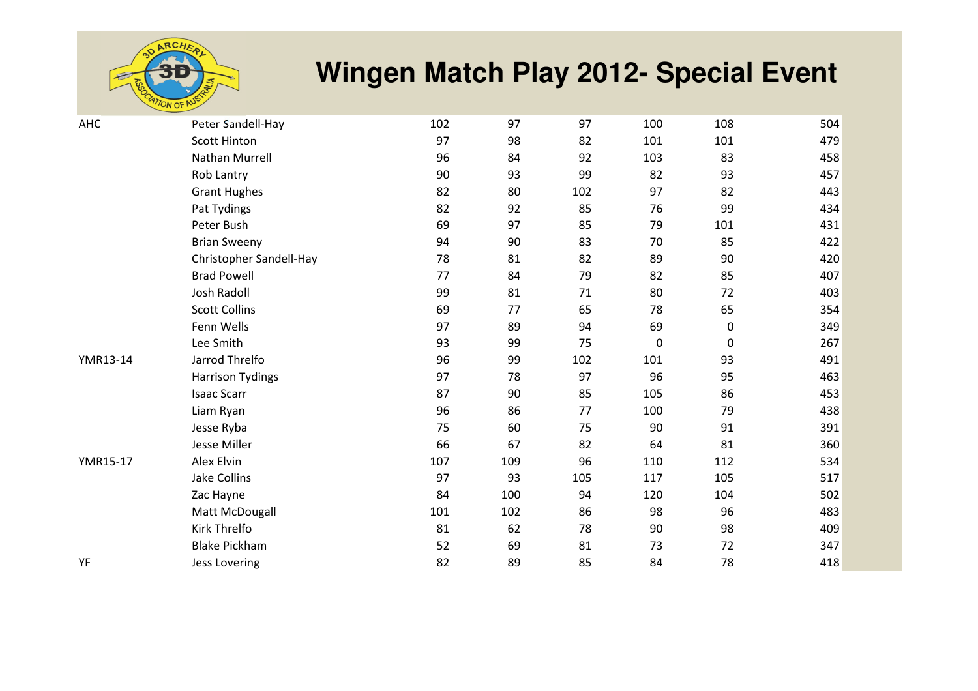

| <b>AHC</b> | Peter Sandell-Hay       | 102 | 97  | 97  | 100 | 108       | 504 |
|------------|-------------------------|-----|-----|-----|-----|-----------|-----|
|            | <b>Scott Hinton</b>     | 97  | 98  | 82  | 101 | 101       | 479 |
|            | Nathan Murrell          | 96  | 84  | 92  | 103 | 83        | 458 |
|            | Rob Lantry              | 90  | 93  | 99  | 82  | 93        | 457 |
|            | <b>Grant Hughes</b>     | 82  | 80  | 102 | 97  | 82        | 443 |
|            | Pat Tydings             | 82  | 92  | 85  | 76  | 99        | 434 |
|            | Peter Bush              | 69  | 97  | 85  | 79  | 101       | 431 |
|            | <b>Brian Sweeny</b>     | 94  | 90  | 83  | 70  | 85        | 422 |
|            | Christopher Sandell-Hay | 78  | 81  | 82  | 89  | 90        | 420 |
|            | <b>Brad Powell</b>      | 77  | 84  | 79  | 82  | 85        | 407 |
|            | Josh Radoll             | 99  | 81  | 71  | 80  | 72        | 403 |
|            | <b>Scott Collins</b>    | 69  | 77  | 65  | 78  | 65        | 354 |
|            | Fenn Wells              | 97  | 89  | 94  | 69  | $\pmb{0}$ | 349 |
|            | Lee Smith               | 93  | 99  | 75  | 0   | $\pmb{0}$ | 267 |
| YMR13-14   | Jarrod Threlfo          | 96  | 99  | 102 | 101 | 93        | 491 |
|            | <b>Harrison Tydings</b> | 97  | 78  | 97  | 96  | 95        | 463 |
|            | <b>Isaac Scarr</b>      | 87  | 90  | 85  | 105 | 86        | 453 |
|            | Liam Ryan               | 96  | 86  | 77  | 100 | 79        | 438 |
|            | Jesse Ryba              | 75  | 60  | 75  | 90  | 91        | 391 |
|            | Jesse Miller            | 66  | 67  | 82  | 64  | 81        | 360 |
| YMR15-17   | Alex Elvin              | 107 | 109 | 96  | 110 | 112       | 534 |
|            | Jake Collins            | 97  | 93  | 105 | 117 | 105       | 517 |
|            | Zac Hayne               | 84  | 100 | 94  | 120 | 104       | 502 |
|            | Matt McDougall          | 101 | 102 | 86  | 98  | 96        | 483 |
|            | Kirk Threlfo            | 81  | 62  | 78  | 90  | 98        | 409 |
|            | <b>Blake Pickham</b>    | 52  | 69  | 81  | 73  | 72        | 347 |
| YF         | <b>Jess Lovering</b>    | 82  | 89  | 85  | 84  | 78        | 418 |
|            |                         |     |     |     |     |           |     |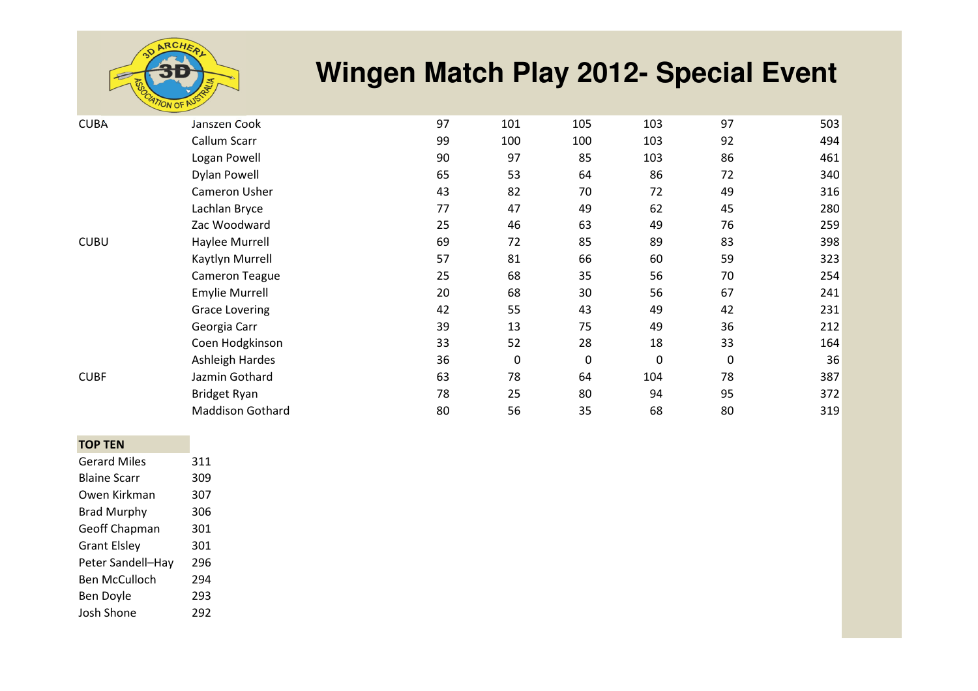

| <b>CUBA</b> | Janszen Cook            | 97 | 101 | 105              | 103         | 97          | 503 |
|-------------|-------------------------|----|-----|------------------|-------------|-------------|-----|
|             | Callum Scarr            | 99 | 100 | 100              | 103         | 92          | 494 |
|             | Logan Powell            | 90 | 97  | 85               | 103         | 86          | 461 |
|             | <b>Dylan Powell</b>     | 65 | 53  | 64               | 86          | 72          | 340 |
|             | Cameron Usher           | 43 | 82  | 70               | 72          | 49          | 316 |
|             | Lachlan Bryce           | 77 | 47  | 49               | 62          | 45          | 280 |
|             | Zac Woodward            | 25 | 46  | 63               | 49          | 76          | 259 |
| <b>CUBU</b> | Haylee Murrell          | 69 | 72  | 85               | 89          | 83          | 398 |
|             | Kaytlyn Murrell         | 57 | 81  | 66               | 60          | 59          | 323 |
|             | Cameron Teague          | 25 | 68  | 35               | 56          | 70          | 254 |
|             | <b>Emylie Murrell</b>   | 20 | 68  | 30               | 56          | 67          | 241 |
|             | <b>Grace Lovering</b>   | 42 | 55  | 43               | 49          | 42          | 231 |
|             | Georgia Carr            | 39 | 13  | 75               | 49          | 36          | 212 |
|             | Coen Hodgkinson         | 33 | 52  | 28               | 18          | 33          | 164 |
|             | Ashleigh Hardes         | 36 | 0   | $\boldsymbol{0}$ | $\mathbf 0$ | $\mathbf 0$ | 36  |
| <b>CUBF</b> | Jazmin Gothard          | 63 | 78  | 64               | 104         | 78          | 387 |
|             | Bridget Ryan            | 78 | 25  | 80               | 94          | 95          | 372 |
|             | <b>Maddison Gothard</b> | 80 | 56  | 35               | 68          | 80          | 319 |
|             |                         |    |     |                  |             |             |     |

#### **TOP TEN**

| <b>Gerard Miles</b>  | 311 |
|----------------------|-----|
| <b>Blaine Scarr</b>  | 309 |
| Owen Kirkman         | 307 |
| <b>Brad Murphy</b>   | 306 |
| Geoff Chapman        | 301 |
| <b>Grant Elsley</b>  | 301 |
| Peter Sandell-Hay    | 296 |
| <b>Ben McCulloch</b> | 294 |
| Ben Doyle            | 293 |
| Josh Shone           | 292 |
|                      |     |